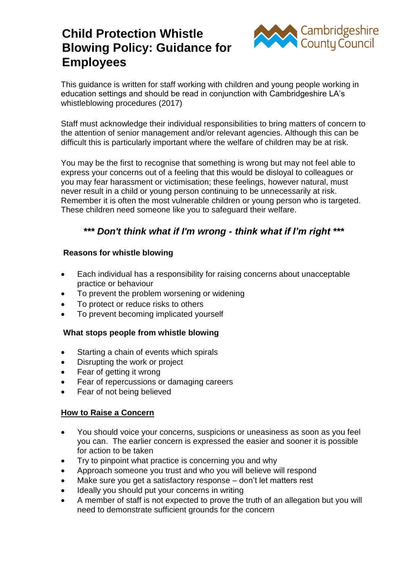# **Child Protection Whistle Blowing Policy: Guidance for Employees**



This guidance is written for staff working with children and young people working in education settings and should be read in conjunction with Cambridgeshire LA's whistleblowing procedures (2017)

Staff must acknowledge their individual responsibilities to bring matters of concern to the attention of senior management and/or relevant agencies. Although this can be difficult this is particularly important where the welfare of children may be at risk.

You may be the first to recognise that something is wrong but may not feel able to express your concerns out of a feeling that this would be disloyal to colleagues or you may fear harassment or victimisation; these feelings, however natural, must never result in a child or young person continuing to be unnecessarily at risk. Remember it is often the most vulnerable children or young person who is targeted. These children need someone like you to safeguard their welfare.

## *\*\*\* Don't think what if I'm wrong - think what if I'm right \*\*\**

#### **Reasons for whistle blowing**

- Each individual has a responsibility for raising concerns about unacceptable practice or behaviour
- To prevent the problem worsening or widening
- To protect or reduce risks to others
- To prevent becoming implicated yourself

#### **What stops people from whistle blowing**

- Starting a chain of events which spirals
- Disrupting the work or project
- Fear of getting it wrong
- Fear of repercussions or damaging careers
- Fear of not being believed

#### **How to Raise a Concern**

- You should voice your concerns, suspicions or uneasiness as soon as you feel you can. The earlier concern is expressed the easier and sooner it is possible for action to be taken
- Try to pinpoint what practice is concerning you and why
- Approach someone you trust and who you will believe will respond
- Make sure you get a satisfactory response don't let matters rest
- Ideally you should put your concerns in writing
- A member of staff is not expected to prove the truth of an allegation but you will need to demonstrate sufficient grounds for the concern